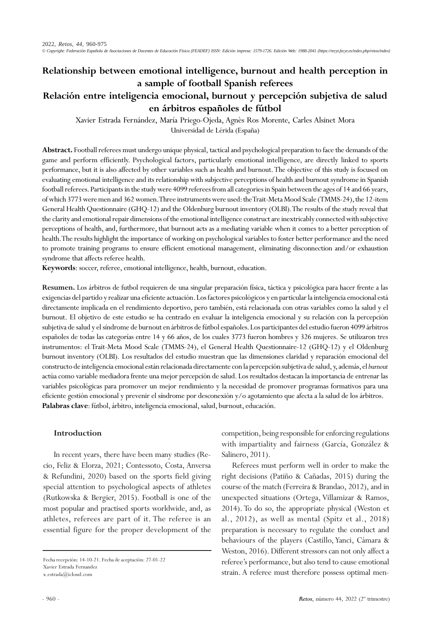# **Relationship between emotional intelligence, burnout and health perception in a sample of football Spanish referees Relación entre inteligencia emocional, burnout y percepción subjetiva de salud en árbitros españoles de fútbol**

Xavier Estrada Fernández, María Priego-Ojeda, Agnès Ros Morente, Carles Alsinet Mora Universidad de Lérida (España)

**Abstract.** Football referees must undergo unique physical, tactical and psychological preparation to face the demands of the game and perform efficiently. Psychological factors, particularly emotional intelligence, are directly linked to sports performance, but it is also affected by other variables such as health and burnout. The objective of this study is focused on evaluating emotional intelligence and its relationship with subjective perceptions of health and burnout syndrome in Spanish football referees. Participants in the study were 4099 referees from all categories in Spain between the ages of 14 and 66 years, of which 3773 were men and 362 women. Three instruments were used: the Trait-Meta Mood Scale (TMMS-24), the 12-item General Health Questionnaire (GHQ-12) and the Oldenburg burnout inventory (OLBI). The results of the study reveal that the clarity and emotional repair dimensions of the emotional intelligence construct are inextricably connected with subjective perceptions of health, and, furthermore, that burnout acts as a mediating variable when it comes to a better perception of health. The results highlight the importance of working on psychological variables to foster better performance and the need to promote training programs to ensure efficient emotional management, eliminating disconnection and/or exhaustion syndrome that affects referee health.

**Keywords**: soccer, referee, emotional intelligence, health, burnout, education.

**Resumen.** Los árbitros de futbol requieren de una singular preparación física, táctica y psicológica para hacer frente a las exigencias del partido y realizar una eficiente actuación. Los factores psicológicos y en particular la inteligencia emocional está directamente implicada en el rendimiento deportivo, pero también, está relacionada con otras variables como la salud y el burnout. El objetivo de este estudio se ha centrado en evaluar la inteligencia emocional y su relación con la percepción subjetiva de salud y el síndrome de burnout en árbitros de fútbol españoles. Los participantes del estudio fueron 4099 árbitros españoles de todas las categorías entre 14 y 66 años, de los cuales 3773 fueron hombres y 326 mujeres. Se utilizaron tres instrumentos: el Trait-Meta Mood Scale (TMMS-24), el General Health Questionnaire-12 (GHQ-12) y el Oldenburg burnout inventory (OLBI). Los resultados del estudio muestran que las dimensiones claridad y reparación emocional del constructo de inteligencia emocional están relacionada directamente con la percepción subjetiva de salud, y, además, el *burnout* actúa como variable mediadora frente una mejor percepción de salud. Los resultados destacan la importancia de entrenar las variables psicológicas para promover un mejor rendimiento y la necesidad de promover programas formativos para una eficiente gestión emocional y prevenir el síndrome por desconexión y/o agotamiento que afecta a la salud de los árbitros. **Palabras clave**: fútbol, árbitro, inteligencia emocional, salud, burnout, educación.

# **Introduction**

In recent years, there have been many studies (Recio, Feliz & Elorza, 2021; Contessoto, Costa, Anversa & Refundini, 2020) based on the sports field giving special attention to psychological aspects of athletes (Rutkowska & Bergier, 2015). Football is one of the most popular and practised sports worldwide, and, as athletes, referees are part of it. The referee is an essential figure for the proper development of the

competition, being responsible for enforcing regulations with impartiality and fairness (García, González & Salinero, 2011).

Referees must perform well in order to make the right decisions (Patiño & Cañadas, 2015) during the course of the match (Ferreira & Brandao, 2012), and in unexpected situations (Ortega, Villamizar & Ramos, 2014). To do so, the appropriate physical (Weston et al., 2012), as well as mental (Spitz et al., 2018) preparation is necessary to regulate the conduct and behaviours of the players (Castillo, Yanci, Cámara & Weston, 2016). Different stressors can not only affect a referee's performance, but also tend to cause emotional strain. A referee must therefore possess optimal men-

Fecha recepción: 14-10-21. Fecha de aceptación: 27-01-22 Xavier Estrada Fernandez x.estrada@icloud.com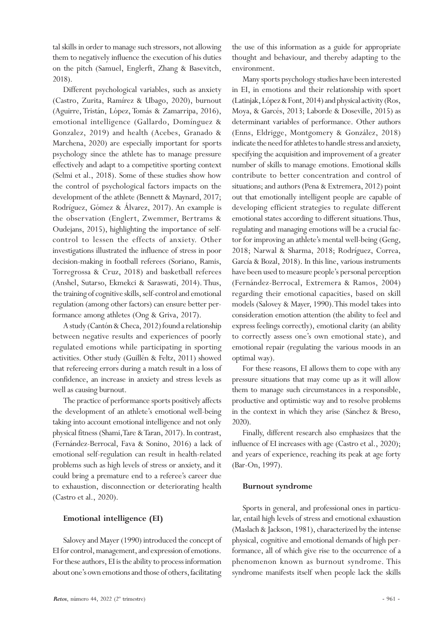tal skills in order to manage such stressors, not allowing them to negatively influence the execution of his duties on the pitch (Samuel, Englerft, Zhang & Basevitch, 2018).

Different psychological variables, such as anxiety (Castro, Zurita, Ramírez & Ubago, 2020), burnout (Aguirre, Tristán, López, Tomás & Zamarripa, 2016), emotional intelligence (Gallardo, Domínguez & Gonzalez, 2019) and health (Acebes, Granado & Marchena, 2020) are especially important for sports psychology since the athlete has to manage pressure effectively and adapt to a competitive sporting context (Selmi et al., 2018). Some of these studies show how the control of psychological factors impacts on the development of the athlete (Bennett & Maynard, 2017; Rodríguez, Gómez & Álvarez, 2017). An example is the observation (Englert, Zwemmer, Bertrams & Oudejans, 2015), highlighting the importance of selfcontrol to lessen the effects of anxiety. Other investigations illustrated the influence of stress in poor decision-making in football referees (Soriano, Ramis, Torregrossa & Cruz, 2018) and basketball referees (Anshel, Sutarso, Ekmekci & Saraswati, 2014). Thus, the training of cognitive skills, self-control and emotional regulation (among other factors) can ensure better performance among athletes (Ong & Griva, 2017).

A study (Cantón & Checa, 2012) found a relationship between negative results and experiences of poorly regulated emotions while participating in sporting activities. Other study (Guillén & Feltz, 2011) showed that refereeing errors during a match result in a loss of confidence, an increase in anxiety and stress levels as well as causing burnout.

The practice of performance sports positively affects the development of an athlete's emotional well-being taking into account emotional intelligence and not only physical fitness (Shami, Tare & Taran, 2017). In contrast, (Fernández-Berrocal, Fava & Sonino, 2016) a lack of emotional self-regulation can result in health-related problems such as high levels of stress or anxiety, and it could bring a premature end to a referee's career due to exhaustion, disconnection or deteriorating health (Castro et al., 2020).

# **Emotional intelligence (EI)**

Salovey and Mayer (1990) introduced the concept of EI for control, management, and expression of emotions. For these authors, EI is the ability to process information about one's own emotions and those of others, facilitating

the use of this information as a guide for appropriate thought and behaviour, and thereby adapting to the environment.

Many sports psychology studies have been interested in EI, in emotions and their relationship with sport (Latinjak, López & Font, 2014) and physical activity (Ros, Moya, & Garcés, 2013; Laborde & Doseville, 2015) as determinant variables of performance. Other authors (Enns, Eldrigge, Montgomery & González, 2018) indicate the need for athletes to handle stress and anxiety, specifying the acquisition and improvement of a greater number of skills to manage emotions. Emotional skills contribute to better concentration and control of situations; and authors (Pena & Extremera, 2012) point out that emotionally intelligent people are capable of developing efficient strategies to regulate different emotional states according to different situations. Thus, regulating and managing emotions will be a crucial factor for improving an athlete's mental well-being (Geng, 2018; Narwal & Sharma, 2018; Rodríguez, Correa, García & Bozal, 2018). In this line, various instruments have been used to measure people's personal perception (Fernández-Berrocal, Extremera & Ramos, 2004) regarding their emotional capacities, based on skill models (Salovey & Mayer, 1990). This model takes into consideration emotion attention (the ability to feel and express feelings correctly), emotional clarity (an ability to correctly assess one's own emotional state), and emotional repair (regulating the various moods in an optimal way).

For these reasons, EI allows them to cope with any pressure situations that may come up as it will allow them to manage such circumstances in a responsible, productive and optimistic way and to resolve problems in the context in which they arise (Sánchez & Breso, 2020).

Finally, different research also emphasizes that the influence of EI increases with age (Castro et al., 2020); and years of experience, reaching its peak at age forty (Bar-On, 1997).

#### **Burnout syndrome**

Sports in general, and professional ones in particular, entail high levels of stress and emotional exhaustion (Maslach & Jackson, 1981), characterized by the intense physical, cognitive and emotional demands of high performance, all of which give rise to the occurrence of a phenomenon known as burnout syndrome. This syndrome manifests itself when people lack the skills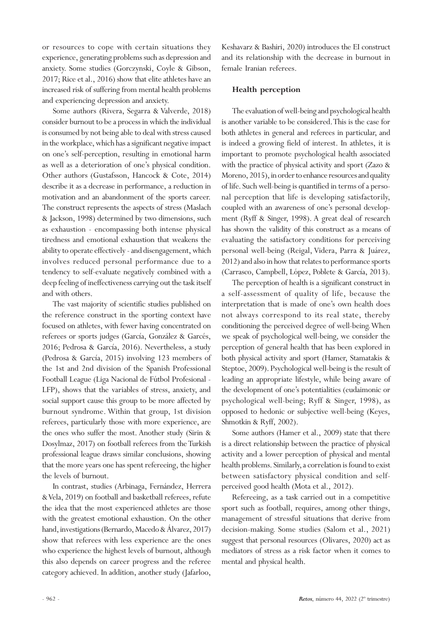or resources to cope with certain situations they experience, generating problems such as depression and anxiety. Some studies (Gorczynski, Coyle & Gibson, 2017; Rice et al., 2016) show that elite athletes have an increased risk of suffering from mental health problems and experiencing depression and anxiety.

Some authors (Rivera, Segarra & Valverde, 2018) consider burnout to be a process in which the individual is consumed by not being able to deal with stress caused in the workplace, which has a significant negative impact on one's self-perception, resulting in emotional harm as well as a deterioration of one's physical condition. Other authors (Gustafsson, Hancock & Cote, 2014) describe it as a decrease in performance, a reduction in motivation and an abandonment of the sports career. The construct represents the aspects of stress (Maslach & Jackson, 1998) determined by two dimensions, such as exhaustion - encompassing both intense physical tiredness and emotional exhaustion that weakens the ability to operate effectively - and disengagement, which involves reduced personal performance due to a tendency to self-evaluate negatively combined with a deep feeling of ineffectiveness carrying out the task itself and with others.

The vast majority of scientific studies published on the reference construct in the sporting context have focused on athletes, with fewer having concentrated on referees or sports judges (García, González & Garcés, 2016; Pedrosa & García, 2016). Nevertheless, a study (Pedrosa & García, 2015) involving 123 members of the 1st and 2nd division of the Spanish Professional Football League (Liga Nacional de Fútbol Profesional - LFP), shows that the variables of stress, anxiety, and social support cause this group to be more affected by burnout syndrome. Within that group, 1st division referees, particularly those with more experience, are the ones who suffer the most. Another study (Sirin & Dosylmaz, 2017) on football referees from the Turkish professional league draws similar conclusions, showing that the more years one has spent refereeing, the higher the levels of burnout.

In contrast, studies (Arbinaga, Fernández, Herrera & Vela, 2019) on football and basketball referees, refute the idea that the most experienced athletes are those with the greatest emotional exhaustion. On the other hand, investigations (Bernardo, Macedo & Álvarez, 2017) show that referees with less experience are the ones who experience the highest levels of burnout, although this also depends on career progress and the referee category achieved. In addition, another study (Jafarloo,

Keshavarz & Bashiri, 2020) introduces the EI construct and its relationship with the decrease in burnout in female Iranian referees.

# **Health perception**

The evaluation of well-being and psychological health is another variable to be considered. This is the case for both athletes in general and referees in particular, and is indeed a growing field of interest. In athletes, it is important to promote psychological health associated with the practice of physical activity and sport (Zazo & Moreno, 2015), in order to enhance resources and quality of life. Such well-being is quantified in terms of a personal perception that life is developing satisfactorily, coupled with an awareness of one's personal development (Ryff & Singer, 1998). A great deal of research has shown the validity of this construct as a means of evaluating the satisfactory conditions for perceiving personal well-being (Reigal, Videra, Parra & Juárez, 2012) and also in how that relates to performance sports (Carrasco, Campbell, López, Poblete & García, 2013).

The perception of health is a significant construct in a self-assessment of quality of life, because the interpretation that is made of one's own health does not always correspond to its real state, thereby conditioning the perceived degree of well-being. When we speak of psychological well-being, we consider the perception of general health that has been explored in both physical activity and sport (Hamer, Stamatakis & Steptoe, 2009). Psychological well-being is the result of leading an appropriate lifestyle, while being aware of the development of one's potentialities (eudaimonic or psychological well-being; Ryff & Singer, 1998), as opposed to hedonic or subjective well-being (Keyes, Shmotkin & Ryff, 2002).

Some authors (Hamer et al., 2009) state that there is a direct relationship between the practice of physical activity and a lower perception of physical and mental health problems. Similarly, a correlation is found to exist between satisfactory physical condition and selfperceived good health (Mota et al., 2012).

Refereeing, as a task carried out in a competitive sport such as football, requires, among other things, management of stressful situations that derive from decision-making. Some studies (Salom et al., 2021) suggest that personal resources (Olivares, 2020) act as mediators of stress as a risk factor when it comes to mental and physical health.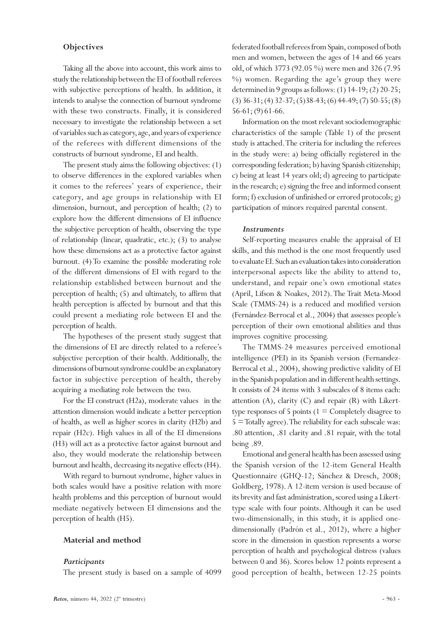### **Objectives**

Taking all the above into account, this work aims to study the relationship between the EI of football referees with subjective perceptions of health. In addition, it intends to analyse the connection of burnout syndrome with these two constructs. Finally, it is considered necessary to investigate the relationship between a set of variables such as category, age, and years of experience of the referees with different dimensions of the constructs of burnout syndrome, EI and health.

The present study aims the following objectives: (1) to observe differences in the explored variables when it comes to the referees' years of experience, their category, and age groups in relationship with EI dimension, burnout, and perception of health; (2) to explore how the different dimensions of EI influence the subjective perception of health, observing the type of relationship (linear, quadratic, etc.); (3) to analyse how these dimensions act as a protective factor against burnout. (4) To examine the possible moderating role of the different dimensions of EI with regard to the relationship established between burnout and the perception of health; (5) and ultimately, to affirm that health perception is affected by burnout and that this could present a mediating role between EI and the perception of health.

The hypotheses of the present study suggest that the dimensions of EI are directly related to a referee's subjective perception of their health. Additionally, the dimensions of burnout syndrome could be an explanatory factor in subjective perception of health, thereby acquiring a mediating role between the two.

For the EI construct (H2a), moderate values in the attention dimension would indicate a better perception of health, as well as higher scores in clarity (H2b) and repair (H2c). High values in all of the EI dimensions (H3) will act as a protective factor against burnout and also, they would moderate the relationship between burnout and health, decreasing its negative effects (H4).

With regard to burnout syndrome, higher values in both scales would have a positive relation with more health problems and this perception of burnout would mediate negatively between EI dimensions and the perception of health (H5).

# **Material and method**

#### *Participants*

The present study is based on a sample of 4099

federated football referees from Spain, composed of both men and women, between the ages of 14 and 66 years old, of which 3773 (92.05 %) were men and 326 (7.95 %) women. Regarding the age's group they were determined in 9 groups as follows: (1) 14-19; (2) 20-25; (3) 36-31; (4) 32-37; (5)38-43; (6) 44-49; (7) 50-55; (8) 56-61; (9) 61-66.

Information on the most relevant sociodemographic characteristics of the sample (Table 1) of the present study is attached. The criteria for including the referees in the study were: a) being officially registered in the corresponding federation; b) having Spanish citizenship; c) being at least 14 years old; d) agreeing to participate in the research; e) signing the free and informed consent form; f) exclusion of unfinished or errored protocols; g) participation of minors required parental consent.

#### *Instruments*

Self-reporting measures enable the appraisal of EI skills, and this method is the one most frequently used to evaluate EI. Such an evaluation takes into consideration interpersonal aspects like the ability to attend to, understand, and repair one's own emotional states (April, Lifson & Noakes, 2012). The Trait Meta-Mood Scale (TMMS-24) is a reduced and modified version (Fernández-Berrocal et al., 2004) that assesses people's perception of their own emotional abilities and thus improves cognitive processing.

The TMMS-24 measures perceived emotional intelligence (PEI) in its Spanish version (Fernandez-Berrocal et al., 2004), showing predictive validity of EI in the Spanish population and in different health settings. It consists of 24 items with 3 subscales of 8 items each: attention  $(A)$ , clarity  $(C)$  and repair  $(R)$  with Likerttype responses of 5 points ( $1 =$  Completely disagree to 5 = Totally agree). The reliability for each subscale was: .80 attention, .81 clarity and .81 repair, with the total being .89.

Emotional and general health has been assessed using the Spanish version of the 12-item General Health Questionnaire (GHQ-12; Sánchez & Dresch, 2008; Goldberg, 1978). A 12-item version is used because of its brevity and fast administration, scored using a Likerttype scale with four points. Although it can be used two-dimensionally, in this study, it is applied onedimensionally (Padrón et al., 2012), where a higher score in the dimension in question represents a worse perception of health and psychological distress (values between 0 and 36). Scores below 12 points represent a good perception of health, between 12-25 points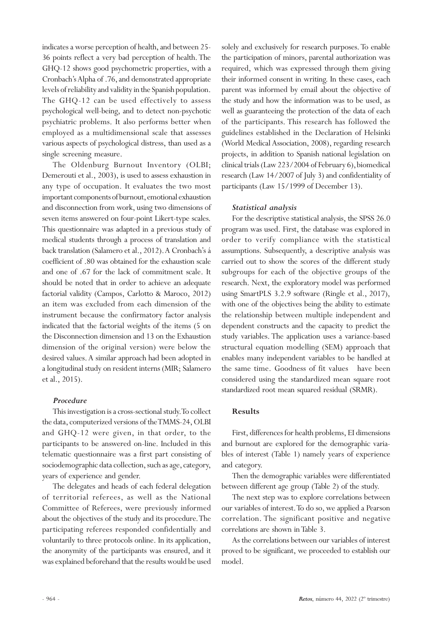indicates a worse perception of health, and between 25- 36 points reflect a very bad perception of health. The GHQ-12 shows good psychometric properties, with a Cronbach's Alpha of .76, and demonstrated appropriate levels of reliability and validity in the Spanish population. The GHQ-12 can be used effectively to assess psychological well-being, and to detect non-psychotic psychiatric problems. It also performs better when employed as a multidimensional scale that assesses various aspects of psychological distress, than used as a single screening measure.

The Oldenburg Burnout Inventory (OLBI; Demerouti et al., 2003), is used to assess exhaustion in any type of occupation. It evaluates the two most important components of burnout, emotional exhaustion and disconnection from work, using two dimensions of seven items answered on four-point Likert-type scales. This questionnaire was adapted in a previous study of medical students through a process of translation and back translation (Salamero et al., 2012). A Cronbach's á coefficient of .80 was obtained for the exhaustion scale and one of .67 for the lack of commitment scale. It should be noted that in order to achieve an adequate factorial validity (Campos, Carlotto & Maroco, 2012) an item was excluded from each dimension of the instrument because the confirmatory factor analysis indicated that the factorial weights of the items (5 on the Disconnection dimension and 13 on the Exhaustion dimension of the original version) were below the desired values. A similar approach had been adopted in a longitudinal study on resident interns (MIR; Salamero et al., 2015).

# *Procedure*

This investigation is a cross-sectional study. To collect the data, computerized versions of the TMMS-24, OLBI and GHQ-12 were given, in that order, to the participants to be answered on-line. Included in this telematic questionnaire was a first part consisting of sociodemographic data collection, such as age, category, years of experience and gender.

The delegates and heads of each federal delegation of territorial referees, as well as the National Committee of Referees, were previously informed about the objectives of the study and its procedure. The participating referees responded confidentially and voluntarily to three protocols online. In its application, the anonymity of the participants was ensured, and it was explained beforehand that the results would be used solely and exclusively for research purposes. To enable the participation of minors, parental authorization was required, which was expressed through them giving their informed consent in writing. In these cases, each parent was informed by email about the objective of the study and how the information was to be used, as well as guaranteeing the protection of the data of each of the participants. This research has followed the guidelines established in the Declaration of Helsinki (World Medical Association, 2008), regarding research projects, in addition to Spanish national legislation on clinical trials (Law 223/2004 of February 6), biomedical research (Law 14/2007 of July 3) and confidentiality of participants (Law 15/1999 of December 13).

# *Statistical analysis*

For the descriptive statistical analysis, the SPSS 26.0 program was used. First, the database was explored in order to verify compliance with the statistical assumptions. Subsequently, a descriptive analysis was carried out to show the scores of the different study subgroups for each of the objective groups of the research. Next, the exploratory model was performed using SmartPLS 3.2.9 software (Ringle et al., 2017), with one of the objectives being the ability to estimate the relationship between multiple independent and dependent constructs and the capacity to predict the study variables. The application uses a variance-based structural equation modelling (SEM) approach that enables many independent variables to be handled at the same time. Goodness of fit values have been considered using the standardized mean square root standardized root mean squared residual (SRMR).

# **Results**

First, differences for health problems, EI dimensions and burnout are explored for the demographic variables of interest (Table 1) namely years of experience and category.

Then the demographic variables were differentiated between different age group (Table 2) of the study.

The next step was to explore correlations between our variables of interest. To do so, we applied a Pearson correlation. The significant positive and negative correlations are shown in Table 3.

As the correlations between our variables of interest proved to be significant, we proceeded to establish our model.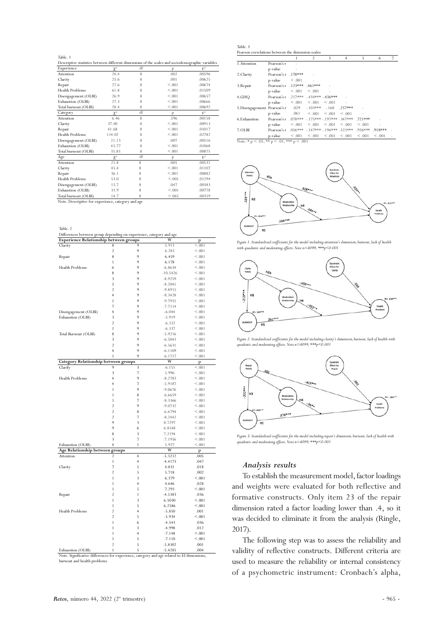| Table, 1                                                                                         |  |  |
|--------------------------------------------------------------------------------------------------|--|--|
| Descriptive statistics between different dimensions of the scales and sociodemographic variables |  |  |
| <b>Experience</b> and                                                                            |  |  |

| Experience             | $\chi^2$ | df | D            | $\varepsilon^2$ |
|------------------------|----------|----|--------------|-----------------|
| Attention              | 24.4     | 8  | .002         | .00596          |
| Clarity                | 25.6     | 8  | .001         | .00625          |
| Repair                 | 27.6     | 8  | < 0.001      | .00674          |
| Health Problems        | 61.8     | 8  | < 0.001      | .01509          |
| Disengagement (OLBI)   | 26.9     | 8  | < 0.001      | .00657          |
| Exhaustion (OLBI)      | 27.3     | 8  | < 0.001      | .00666          |
| Total burnout (OLBI)   | 28.4     | 8  | < 0.001      | .00692          |
| Category               | $\chi^2$ | df | $\mathbb{D}$ | $\mathcal{E}^2$ |
| Attention              | 6.46     | 8  | .596         | .00158          |
| Clarity                | 37.40    | 8  | < 0.001      | .00913          |
| Repair                 | 41.68    | 8  | < 0.001      | .01017          |
| Health Problems        | 114.02   | 8  | < 0.001      | .02782          |
| Disengagement (OLBI)   | 21.13    | 8  | .007         | .00516          |
| Exhaustion (OLBI)      | 43.77    | 8  | < 0.001      | .01068          |
| Total burnout (OLBI)   | 35.85    | 8  | < 0.001      | .00875          |
| Age                    | $\chi^2$ | df | p            | $\varepsilon^2$ |
| Attention              | 21.8     | 8  | .005         | .00532          |
| Clarity                | 45.4     | 8  | < 0.001      | .01107          |
| Repair                 | 36.1     | 8  | < 0.001      | .00882          |
| <b>Health Problems</b> | 53.0     | 8  | < 0.001      | .01294          |
| Disengagement (OLBI)   | 15.7     | 8  | .047         | .00383          |
| Exhaustion (OLBI)      | 31.9     | 8  | < 0.001      | .00778          |
| Total burnout (OLBI)   | 14.7     | 8  | < 0.065      | .00359          |
|                        |          |    |              |                 |

|                                                          |                                                       | $\mathfrak{D}$                                         | 3      | 4 | 5      | 6         | 7 |
|----------------------------------------------------------|-------------------------------------------------------|--------------------------------------------------------|--------|---|--------|-----------|---|
| 1.Attention                                              | Pearson's r                                           |                                                        |        |   |        |           |   |
|                                                          | p-value                                               |                                                        |        |   |        |           |   |
| 2. Clarity                                               | Pearson's r .178***                                   |                                                        |        |   |        |           |   |
|                                                          | $p-value \leq .001$                                   |                                                        |        |   |        |           |   |
| 3. Repair                                                | Pearson's r .123*** .461***                           |                                                        |        |   |        |           |   |
|                                                          | $p-value \t\t 001 \t\t 001$                           |                                                        | ä,     |   |        |           |   |
| 4.GHO                                                    | Pearson's r .217*** -.434*** -.436***                 |                                                        |        |   |        |           |   |
|                                                          | $p-value \t < .001 \t < .001$                         |                                                        | < 0.01 |   |        |           |   |
| 5. Disengagement Pearson's r .029 -.103*** -.168 .257*** |                                                       |                                                        |        |   |        |           |   |
|                                                          | p-value $.061 \le .001 \le .001 \le .001$             |                                                        |        |   |        |           |   |
| 6. Exhaustion                                            | Pearson's r .078*** -.175*** -.197*** -347*** .721*** |                                                        |        |   |        |           |   |
|                                                          | p-value                                               | $\leq 0.01 \leq 0.01 \leq 0.01 \leq 0.01$              |        |   | < 0.01 | ٠         |   |
| 7.OLBI                                                   | Pearson's r. 056*** -.147*** -.196*** .323*** .936*** |                                                        |        |   |        | $.918***$ |   |
|                                                          | p-value                                               | $\leq$ 001 $\leq$ 001 $\leq$ 001 $\leq$ 001 $\leq$ 001 |        |   |        | < 0.01    |   |

Note. \*  $p \le 0.05$ , \*\*  $p \le 0.01$ , \*\*\*  $p \le 0.001$ 

Table. 3

 $328...$  $129...$  $H<sub>3</sub>$ Health  $324...$ 

*Figure 1. Standardized coefficients for the model including attention's dimension, burnout, lack of health with quadratic and moderating effects. Note n=4099, \*\*\*p<0.001*



*Figure 2. Standardized coefficients for the model including clarity's dimension, burnout, lack of health with quadratic and moderating effects. Note n=4099, \*\*\*p<0.001*



*Figure 3. Standardized coefficients for the model including repair's dimension, burnout, lack of health with quadratic and moderating effects. Note n=4099, \*\*\*p<0.001*

### *Analysis results*

To establish the measurement model, factor loadings and weights were evaluated for both reflective and formative constructs. Only item 23 of the repair dimension rated a factor loading lower than .4, so it was decided to eliminate it from the analysis (Ringle, 2017).

The following step was to assess the reliability and validity of reflective constructs. Different criteria are used to measure the reliability or internal consistency of a psychometric instrument: Cronbach's alpha,

| Note. Descriptive for experience, category and age |  |  |  |  |  |
|----------------------------------------------------|--|--|--|--|--|
|----------------------------------------------------|--|--|--|--|--|

|                                |                                                                                                                                                                                                                                                                                                                                                                                                      | W                                                                                                                                                                                                                                                                                                                     | $\mathbf{p}$                                                                                                                                                                                                                                                                                                                                                                      |
|--------------------------------|------------------------------------------------------------------------------------------------------------------------------------------------------------------------------------------------------------------------------------------------------------------------------------------------------------------------------------------------------------------------------------------------------|-----------------------------------------------------------------------------------------------------------------------------------------------------------------------------------------------------------------------------------------------------------------------------------------------------------------------|-----------------------------------------------------------------------------------------------------------------------------------------------------------------------------------------------------------------------------------------------------------------------------------------------------------------------------------------------------------------------------------|
| 8                              | 9                                                                                                                                                                                                                                                                                                                                                                                                    | 5.913                                                                                                                                                                                                                                                                                                                 | < 0.001                                                                                                                                                                                                                                                                                                                                                                           |
| $\overline{\mathbf{c}}$        | 9                                                                                                                                                                                                                                                                                                                                                                                                    | 6.283                                                                                                                                                                                                                                                                                                                 | < 0.001                                                                                                                                                                                                                                                                                                                                                                           |
| 8                              | 9                                                                                                                                                                                                                                                                                                                                                                                                    | 6.459                                                                                                                                                                                                                                                                                                                 | < 0.001                                                                                                                                                                                                                                                                                                                                                                           |
| $\mathbf{1}$                   | 9                                                                                                                                                                                                                                                                                                                                                                                                    | 6.178                                                                                                                                                                                                                                                                                                                 | < 0.001                                                                                                                                                                                                                                                                                                                                                                           |
| 6                              | 9                                                                                                                                                                                                                                                                                                                                                                                                    | $-6.8634$                                                                                                                                                                                                                                                                                                             | < 0.001                                                                                                                                                                                                                                                                                                                                                                           |
| 8                              | 9                                                                                                                                                                                                                                                                                                                                                                                                    |                                                                                                                                                                                                                                                                                                                       | < 0.001                                                                                                                                                                                                                                                                                                                                                                           |
| $\overline{3}$                 | 9                                                                                                                                                                                                                                                                                                                                                                                                    |                                                                                                                                                                                                                                                                                                                       | < 0.001                                                                                                                                                                                                                                                                                                                                                                           |
|                                | 9                                                                                                                                                                                                                                                                                                                                                                                                    |                                                                                                                                                                                                                                                                                                                       | < 0.001                                                                                                                                                                                                                                                                                                                                                                           |
|                                |                                                                                                                                                                                                                                                                                                                                                                                                      |                                                                                                                                                                                                                                                                                                                       | < 0.001                                                                                                                                                                                                                                                                                                                                                                           |
|                                |                                                                                                                                                                                                                                                                                                                                                                                                      |                                                                                                                                                                                                                                                                                                                       | < 0.001                                                                                                                                                                                                                                                                                                                                                                           |
|                                |                                                                                                                                                                                                                                                                                                                                                                                                      |                                                                                                                                                                                                                                                                                                                       | < 0.001                                                                                                                                                                                                                                                                                                                                                                           |
|                                |                                                                                                                                                                                                                                                                                                                                                                                                      |                                                                                                                                                                                                                                                                                                                       | < 0.001                                                                                                                                                                                                                                                                                                                                                                           |
|                                |                                                                                                                                                                                                                                                                                                                                                                                                      |                                                                                                                                                                                                                                                                                                                       | < 0.001                                                                                                                                                                                                                                                                                                                                                                           |
|                                |                                                                                                                                                                                                                                                                                                                                                                                                      |                                                                                                                                                                                                                                                                                                                       | < 0.001                                                                                                                                                                                                                                                                                                                                                                           |
|                                |                                                                                                                                                                                                                                                                                                                                                                                                      |                                                                                                                                                                                                                                                                                                                       | < 0.001                                                                                                                                                                                                                                                                                                                                                                           |
|                                |                                                                                                                                                                                                                                                                                                                                                                                                      |                                                                                                                                                                                                                                                                                                                       | < 0.001                                                                                                                                                                                                                                                                                                                                                                           |
|                                |                                                                                                                                                                                                                                                                                                                                                                                                      |                                                                                                                                                                                                                                                                                                                       |                                                                                                                                                                                                                                                                                                                                                                                   |
|                                |                                                                                                                                                                                                                                                                                                                                                                                                      |                                                                                                                                                                                                                                                                                                                       | < 0.001                                                                                                                                                                                                                                                                                                                                                                           |
|                                |                                                                                                                                                                                                                                                                                                                                                                                                      |                                                                                                                                                                                                                                                                                                                       | < 0.001                                                                                                                                                                                                                                                                                                                                                                           |
|                                |                                                                                                                                                                                                                                                                                                                                                                                                      |                                                                                                                                                                                                                                                                                                                       | < 0.001                                                                                                                                                                                                                                                                                                                                                                           |
|                                |                                                                                                                                                                                                                                                                                                                                                                                                      |                                                                                                                                                                                                                                                                                                                       | < 0.001                                                                                                                                                                                                                                                                                                                                                                           |
|                                |                                                                                                                                                                                                                                                                                                                                                                                                      |                                                                                                                                                                                                                                                                                                                       | < 0.001                                                                                                                                                                                                                                                                                                                                                                           |
|                                |                                                                                                                                                                                                                                                                                                                                                                                                      |                                                                                                                                                                                                                                                                                                                       | P                                                                                                                                                                                                                                                                                                                                                                                 |
|                                |                                                                                                                                                                                                                                                                                                                                                                                                      |                                                                                                                                                                                                                                                                                                                       | < 0.001                                                                                                                                                                                                                                                                                                                                                                           |
|                                |                                                                                                                                                                                                                                                                                                                                                                                                      |                                                                                                                                                                                                                                                                                                                       | < 0.001                                                                                                                                                                                                                                                                                                                                                                           |
|                                |                                                                                                                                                                                                                                                                                                                                                                                                      |                                                                                                                                                                                                                                                                                                                       | < 0.001                                                                                                                                                                                                                                                                                                                                                                           |
|                                |                                                                                                                                                                                                                                                                                                                                                                                                      |                                                                                                                                                                                                                                                                                                                       | < 0.001                                                                                                                                                                                                                                                                                                                                                                           |
|                                |                                                                                                                                                                                                                                                                                                                                                                                                      |                                                                                                                                                                                                                                                                                                                       | < 0.001                                                                                                                                                                                                                                                                                                                                                                           |
|                                |                                                                                                                                                                                                                                                                                                                                                                                                      |                                                                                                                                                                                                                                                                                                                       | < 0.001                                                                                                                                                                                                                                                                                                                                                                           |
|                                |                                                                                                                                                                                                                                                                                                                                                                                                      |                                                                                                                                                                                                                                                                                                                       | < 0.001                                                                                                                                                                                                                                                                                                                                                                           |
|                                |                                                                                                                                                                                                                                                                                                                                                                                                      |                                                                                                                                                                                                                                                                                                                       | < 0.001                                                                                                                                                                                                                                                                                                                                                                           |
|                                |                                                                                                                                                                                                                                                                                                                                                                                                      |                                                                                                                                                                                                                                                                                                                       | < 0.001                                                                                                                                                                                                                                                                                                                                                                           |
|                                |                                                                                                                                                                                                                                                                                                                                                                                                      |                                                                                                                                                                                                                                                                                                                       | < 0.001                                                                                                                                                                                                                                                                                                                                                                           |
|                                |                                                                                                                                                                                                                                                                                                                                                                                                      |                                                                                                                                                                                                                                                                                                                       | < 0.001                                                                                                                                                                                                                                                                                                                                                                           |
|                                |                                                                                                                                                                                                                                                                                                                                                                                                      |                                                                                                                                                                                                                                                                                                                       | < 0.001                                                                                                                                                                                                                                                                                                                                                                           |
| 8                              | 3                                                                                                                                                                                                                                                                                                                                                                                                    | 7.2194                                                                                                                                                                                                                                                                                                                | < 0.001                                                                                                                                                                                                                                                                                                                                                                           |
| 3                              |                                                                                                                                                                                                                                                                                                                                                                                                      | $-7.1956$                                                                                                                                                                                                                                                                                                             | < 0.001                                                                                                                                                                                                                                                                                                                                                                           |
| $\overline{4}$                 | $\mathbf{1}$                                                                                                                                                                                                                                                                                                                                                                                         | 5.927                                                                                                                                                                                                                                                                                                                 | < 0.001                                                                                                                                                                                                                                                                                                                                                                           |
|                                |                                                                                                                                                                                                                                                                                                                                                                                                      |                                                                                                                                                                                                                                                                                                                       | P                                                                                                                                                                                                                                                                                                                                                                                 |
|                                |                                                                                                                                                                                                                                                                                                                                                                                                      |                                                                                                                                                                                                                                                                                                                       | .005                                                                                                                                                                                                                                                                                                                                                                              |
| $\mathbf{1}$                   |                                                                                                                                                                                                                                                                                                                                                                                                      | $-4.4173$                                                                                                                                                                                                                                                                                                             | .047                                                                                                                                                                                                                                                                                                                                                                              |
| 7                              | 5                                                                                                                                                                                                                                                                                                                                                                                                    | 4.831                                                                                                                                                                                                                                                                                                                 | .018                                                                                                                                                                                                                                                                                                                                                                              |
|                                |                                                                                                                                                                                                                                                                                                                                                                                                      |                                                                                                                                                                                                                                                                                                                       | .002                                                                                                                                                                                                                                                                                                                                                                              |
| $\overline{\mathbf{c}}$        | 5                                                                                                                                                                                                                                                                                                                                                                                                    | 5.718                                                                                                                                                                                                                                                                                                                 |                                                                                                                                                                                                                                                                                                                                                                                   |
| 1                              | 3                                                                                                                                                                                                                                                                                                                                                                                                    | 6.379                                                                                                                                                                                                                                                                                                                 | < 0.001                                                                                                                                                                                                                                                                                                                                                                           |
| 1                              | 4                                                                                                                                                                                                                                                                                                                                                                                                    | 4.646                                                                                                                                                                                                                                                                                                                 | .028                                                                                                                                                                                                                                                                                                                                                                              |
| $\mathbf{1}$                   | 5                                                                                                                                                                                                                                                                                                                                                                                                    | 7.293                                                                                                                                                                                                                                                                                                                 | < 0.001                                                                                                                                                                                                                                                                                                                                                                           |
| $\overline{2}$                 | $\mathbf{1}$                                                                                                                                                                                                                                                                                                                                                                                         | $-4.5383$                                                                                                                                                                                                                                                                                                             | .036                                                                                                                                                                                                                                                                                                                                                                              |
| $\mathbf{1}$                   | 3                                                                                                                                                                                                                                                                                                                                                                                                    | 6.5030                                                                                                                                                                                                                                                                                                                | < 0.001                                                                                                                                                                                                                                                                                                                                                                           |
| $\mathbf{1}$                   | 5                                                                                                                                                                                                                                                                                                                                                                                                    | 6.2586                                                                                                                                                                                                                                                                                                                | < 0.001                                                                                                                                                                                                                                                                                                                                                                           |
| $\overline{2}$                 | 4                                                                                                                                                                                                                                                                                                                                                                                                    | $-5.850$                                                                                                                                                                                                                                                                                                              |                                                                                                                                                                                                                                                                                                                                                                                   |
| $\overline{c}$                 | 5                                                                                                                                                                                                                                                                                                                                                                                                    | $-5.934$                                                                                                                                                                                                                                                                                                              | .001<br>< 0.001                                                                                                                                                                                                                                                                                                                                                                   |
| $\mathbf{1}$                   |                                                                                                                                                                                                                                                                                                                                                                                                      |                                                                                                                                                                                                                                                                                                                       |                                                                                                                                                                                                                                                                                                                                                                                   |
| $\mathbf{1}$                   | 6                                                                                                                                                                                                                                                                                                                                                                                                    | $-4.543$                                                                                                                                                                                                                                                                                                              | .036                                                                                                                                                                                                                                                                                                                                                                              |
|                                | 3                                                                                                                                                                                                                                                                                                                                                                                                    | $-4.998$                                                                                                                                                                                                                                                                                                              | .012                                                                                                                                                                                                                                                                                                                                                                              |
| $\mathbf{1}$                   | $\overline{4}$                                                                                                                                                                                                                                                                                                                                                                                       | $-7.148$                                                                                                                                                                                                                                                                                                              | < 0.001                                                                                                                                                                                                                                                                                                                                                                           |
| $\mathbf{1}$<br>$\overline{c}$ | 5<br>5                                                                                                                                                                                                                                                                                                                                                                                               | $-7.110$<br>$-5.8302$                                                                                                                                                                                                                                                                                                 | < 0.001<br>.001                                                                                                                                                                                                                                                                                                                                                                   |
|                                | 5<br>$\overline{2}$<br>$\overline{4}$<br>$\mathbf{1}$<br>7<br>$\overline{4}$<br>3<br>$\overline{2}$<br>$\mathbf{1}$<br>8<br>3<br>$\overline{2}$<br>$\overline{4}$<br>$\mathbf{1}$<br>9<br>3<br>$\overline{4}$<br>$\overline{4}$<br>$\mathbf{1}$<br>$\mathbf{1}$<br>$\mathbf{1}$<br>$\overline{2}$<br>$\overline{2}$<br>$\overline{2}$<br>9<br>9<br>Age Relationship between groups<br>$\overline{2}$ | Differences between group depending on experience, category and age<br><b>Experience Relationship between groups</b><br>9<br>9<br>9<br>9<br>9<br>9<br>9<br>9<br>9<br>9<br>9<br>9<br>9<br>Category Relationship between groups<br>3<br>7<br>9<br>7<br>9<br>8<br>7<br>9<br>8<br>7<br>3<br>6<br>7<br>$\overline{4}$<br>4 | $-10.5426$<br>$-8.9259$<br>$-8.2041$<br>$-9.8915$<br>$-8.3428$<br>$-9.7931$<br>$-7.7114$<br>$-6.044$<br>$-5.919$<br>$-6.332$<br>$-6.337$<br>$-5.9216$<br>$-6.5043$<br>$-6.5631$<br>$-6.1109$<br>$-6.1717$<br>W<br>$-6.151$<br>5.996<br>$-8.2783$<br>$-5.9187$<br>$-9.0676$<br>$-6.6659$<br>$-8.3366$<br>$-9.0732$<br>$-6.6794$<br>$-8.2442$<br>8.7297<br>6.8548<br>W<br>$-5.3212$ |

Exhaustion (OLBI) 1 5 -5.4285 .004<br>Note. Significative differences for experience, category and age related to EI dimensions, burnout and health problems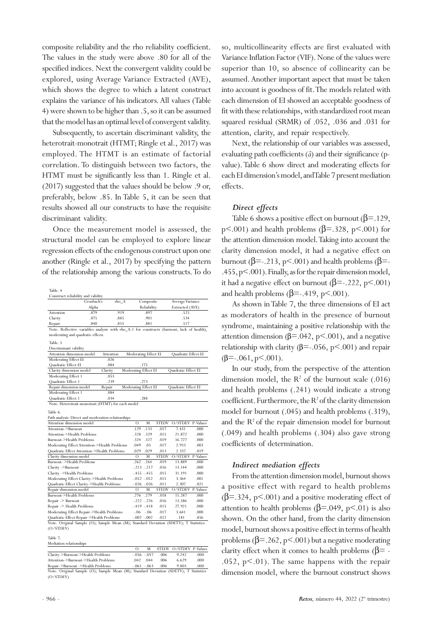composite reliability and the rho reliability coefficient. The values in the study were above .80 for all of the specified indices. Next the convergent validity could be explored, using Average Variance Extracted (AVE), which shows the degree to which a latent construct explains the variance of his indicators. All values (Table 4) were shown to be higher than .5, so it can be assumed that the model has an optimal level of convergent validity.

Subsequently, to ascertain discriminant validity, the heterotrait-monotrait (HTMT; Ringle et al., 2017) was employed. The HTMT is an estimate of factorial correlation. To distinguish between two factors, the HTMT must be significantly less than 1. Ringle et al. (2017) suggested that the values should be below .9 or, preferably, below .85. In Table 5, it can be seen that results showed all our constructs to have the requisite discriminant validity.

Once the measurement model is assessed, the structural model can be employed to explore linear regression effects of the endogenous construct upon one another (Ringle et al., 2017) by specifying the pattern of the relationship among the various constructs. To do

| Table. 4                                                                                   |            |           |                      |                  |              |                     |          |
|--------------------------------------------------------------------------------------------|------------|-----------|----------------------|------------------|--------------|---------------------|----------|
| Construct reliability and validity                                                         |            |           |                      |                  |              |                     |          |
|                                                                                            | Cronbach's | rho_A     |                      | Composite        |              | Average Variance    |          |
|                                                                                            | Alpha      |           |                      | Reliability      |              | Extracted (AVE)     |          |
| Attention                                                                                  | .879       | .919      |                      | .897             |              | .525                |          |
| Clarity                                                                                    | .875       | .885      |                      | .901             |              | .534                |          |
| Repair                                                                                     | .840       | .855      |                      | .881             |              | .517                |          |
| Note. Reflective variables analysis with rho_A:1 for constructs (burnout, lack of health), |            |           |                      |                  |              |                     |          |
| moderating and quadratic effects                                                           |            |           |                      |                  |              |                     |          |
| Table. 5                                                                                   |            |           |                      |                  |              |                     |          |
| Discriminant validity                                                                      |            |           |                      |                  |              |                     |          |
| Attention dimension model                                                                  |            | Attention | Moderating Effect EI |                  |              | Quadratic Effect EI |          |
| Moderating Effect EI                                                                       |            | .026      |                      |                  |              |                     |          |
| Quadratic Effect EI                                                                        |            | .084      |                      | . 175            |              |                     |          |
| Clarity dimension model                                                                    |            | Clarity   | Moderating Effect EI |                  |              | Quadratic Effect EI |          |
| Moderating Effect 1                                                                        |            | .053      |                      |                  |              |                     |          |
| Quadratic Effect 1                                                                         |            | .239      |                      | .273             |              |                     |          |
| Repair dimension model                                                                     |            | Repair    | Moderating Effect EI |                  |              | Quadratic Effect EI |          |
| Moderating Effect 1                                                                        |            | .084      |                      |                  |              |                     |          |
| Quadratic Effect 1                                                                         |            | .034      |                      | .288             |              |                     |          |
| Note. Heterotrait-monotrait (HTMT) for each model                                          |            |           |                      |                  |              |                     |          |
| Table 6.                                                                                   |            |           |                      |                  |              |                     |          |
| Path analysis: Direct and moderation relationships                                         |            |           |                      |                  |              |                     |          |
| Attention dimension model                                                                  |            |           | $\circ$              | M                | <b>STEDV</b> | O/STDEV P-Values    |          |
| Attention->Burnout                                                                         |            |           | .129                 | .133             | .017         | 7.431               | .000     |
| Attention->Health Problems                                                                 |            |           | .328                 | .329             | .015         | 21.872              | .000     |
| Burnout->Health Problems                                                                   |            |           | .324                 | .327             | .019         | 16.727              | .000     |
| Moderating Effect Attention->Health Problems                                               |            |           | .049                 | .05              | .017         | 2.933               | .003     |
| Quadratic Effect Attention->Health Problems                                                |            |           | .029                 | .029             | .013         | 2.337               | .019     |
| Clarity dimension model                                                                    |            |           | $\circ$              | M                | <b>STEDV</b> | O/STDEV             | P-Values |
| Burnout ->Health Problems                                                                  |            |           |                      | .262 .264        | .019         | 13.889              | .000     |
| Clarity ->Burnout                                                                          |            |           |                      | $-.213-.217$     | .016         | 13.144              | .000     |
| Clarity ->Health Problems                                                                  |            |           |                      | $-.455-.455$     | .015         | 31.191              | .000     |
| Moderating Effect Clarity->Health Problems                                                 |            |           |                      | $-.052-.052$     | .015         | 3.364               | .001     |
| Quadratic Effect Clarity->Health Problems                                                  |            |           |                      | $-0.026 - 0.026$ | .011         | 2.307               | .021     |
| Repair dimension model                                                                     |            |           | О                    | M                | <b>STEDV</b> | O/STDEV             | P-Values |
| Burnout->Health Problems                                                                   |            |           |                      | .276 .279        | .018         | 15.287              | .000     |
| Repair -> Burnout                                                                          |            |           |                      | $-.222-.226$     | .016         | 13.586              | .000     |
| Repair -> Health Problems                                                                  |            |           |                      | $-419 - 418$     | .015         | 27.921              | .000     |
| Moderating Effect Repair->Health Problems                                                  |            |           |                      | $-.06-.06$       | .017         | 3.641               | .000     |
| Quadratic Effect Repair->Health Problems                                                   |            |           |                      | $-.002-.002$     | .012         | .181                | .856     |
| Note. Original Sample (O); Sample Mean (M); Standard Deviation (SDETV); T Statistics       |            |           |                      |                  |              |                     |          |
| (O/STDEV)                                                                                  |            |           |                      |                  |              |                     |          |

Table 7. Mediation relationships

|                                                                                      | $\Omega$ | M                 |      | STEDV O/STDEV P-Values |      |
|--------------------------------------------------------------------------------------|----------|-------------------|------|------------------------|------|
| Clarity->Burnout->Health Problems                                                    |          | $-.056-.057$      | .006 | 9.242                  | .000 |
| Attention->Burnout->Health Problems                                                  |          | $.042 \quad .044$ | .006 | 6.629                  | .000 |
| Repair->Burnout ->Health Problems                                                    |          | $-.061-.063$      | .006 | 9.803                  | .000 |
| Note. Original Sample (O); Sample Mean (M); Standard Deviation (SDETV); T Statistics |          |                   |      |                        |      |
| (O/STDEV)                                                                            |          |                   |      |                        |      |

so, multicollinearity effects are first evaluated with Variance Inflation Factor (VIF). None of the values were superior than 10, so absence of collinearity can be assumed. Another important aspect that must be taken into account is goodness of fit. The models related with each dimension of EI showed an acceptable goodness of fit with these relationships, with standardized root mean squared residual (SRMR) of .052, .036 and .031 for attention, clarity, and repair respectively.

Next, the relationship of our variables was assessed, evaluating path coefficients (*â*) and their significance (pvalue). Table 6 show direct and moderating effects for each EI dimension's model, and Table 7 present mediation effects.

#### *Direct effects*

Table 6 shows a positive effect on burnout ( $\beta$ =.129, p <.001) and health problems ( $\beta$ =.328, p <.001) for the attention dimension model. Taking into account the clarity dimension model, it had a negative effect on burnout ( $\beta$ =-.213, p <.001) and health problems ( $\beta$ =-.455, p<.001). Finally, as for the repair dimension model, it had a negative effect on burnout  $(\beta = .222, p < .001)$ and health problems  $(\beta = .419, p < .001)$ .

As shown in Table 7, the three dimensions of EI act as moderators of health in the presence of burnout syndrome, maintaining a positive relationship with the attention dimension ( $β = .042$ ,  $p < .001$ ), and a negative relationship with clarity ( $β = .056$ ,  $p < .001$ ) and repair  $(\beta = .061, p < .001)$ .

In our study, from the perspective of the attention dimension model, the  $R^2$  of the burnout scale (.016) and health problems (.241) would indicate a strong coefficient. Furthermore, the  $R^2$  of the clarity dimension model for burnout (.045) and health problems (.319), and the  $R<sup>2</sup>$  of the repair dimension model for burnout (.049) and health problems (.304) also gave strong coefficients of determination.

# *Indirect mediation effects*

From the attention dimension model, burnout shows a positive effect with regard to health problems  $(\beta = .324, p < .001)$  and a positive moderating effect of attention to health problems  $(\beta = .049, p < .01)$  is also shown. On the other hand, from the clarity dimension model, burnout shows a positive effect in terms of health problems ( $β = .262$ ,  $p < .001$ ) but a negative moderating clarity effect when it comes to health problems ( $\beta$ = -.052,  $p<.01$ ). The same happens with the repair dimension model, where the burnout construct shows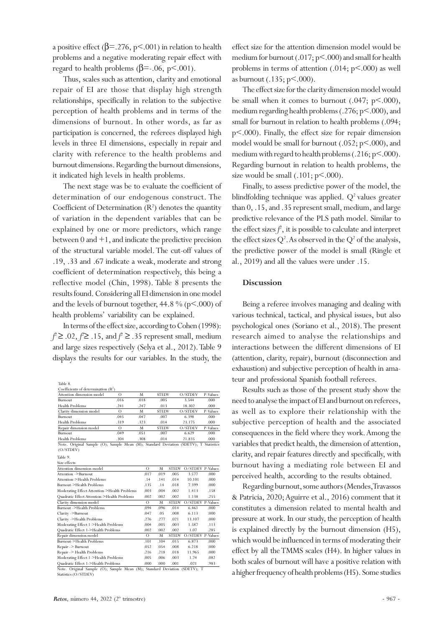a positive effect ( $\beta$ =.276, p <.001) in relation to health problems and a negative moderating repair effect with regard to health problems ( $\beta$ =-.06, p<.001).

Thus, scales such as attention, clarity and emotional repair of EI are those that display high strength relationships, specifically in relation to the subjective perception of health problems and in terms of the dimensions of burnout. In other words, as far as participation is concerned, the referees displayed high levels in three EI dimensions, especially in repair and clarity with reference to the health problems and burnout dimensions. Regarding the burnout dimensions, it indicated high levels in health problems.

The next stage was be to evaluate the coefficient of determination of our endogenous construct. The Coefficient of Determination  $(R^2)$  denotes the quantity of variation in the dependent variables that can be explained by one or more predictors, which range between 0 and +1, and indicate the predictive precision of the structural variable model. The cut-off values of .19, .33 and .67 indicate a weak, moderate and strong coefficient of determination respectively, this being a reflective model (Chin, 1998). Table 8 presents the results found. Considering all EI dimension in one model and the levels of burnout together,  $44.8\%$  (p $\leq$ .000) of health problems' variability can be explained.

In terms of the effect size, according to Cohen (1998):  $f$  ≥ .02,  $f$  ≥ .15, and  $f$  ≥ .35 represent small, medium and large sizes respectively (Selya et al., 2012). Table 9 displays the results for our variables. In the study, the

Table 8.

| Coefficients of determination $(R^2)$                                                |          |      |              |         |          |  |  |  |
|--------------------------------------------------------------------------------------|----------|------|--------------|---------|----------|--|--|--|
| Attention dimension model                                                            | $\Omega$ | M    | <b>STEDV</b> | O/STDEV | P-Values |  |  |  |
| Burnout                                                                              | .016     | .018 | .005         | 3.544   | .000     |  |  |  |
| Health Problems                                                                      | .241     | .247 | .013         | 18.302  | .000     |  |  |  |
| Clarity dimension model                                                              | $\Omega$ | M    | <b>STEDV</b> | O/STDEV | P-Values |  |  |  |
| Burnout                                                                              | .045     | .047 | .007         | 6.398   | .000     |  |  |  |
| Health Problems                                                                      | .319     | .323 | .014         | 23.175  | .000     |  |  |  |
| Repair dimension model                                                               | $\Omega$ | M    | <b>STEDV</b> | O/STDEV | P-Values |  |  |  |
| Burnout                                                                              | .049     | .051 | .007         | 6.629   | .000     |  |  |  |
| Health Problems                                                                      | .304     | .308 | .014         | 21.835  | .000     |  |  |  |
| Note. Original Sample (O); Sample Mean (M); Standard Deviation (SDETV); T Statistics |          |      |              |         |          |  |  |  |

 $(O/STDFV)$ 

Table 9.

| Size effects                                 |      |      |              |         |          |
|----------------------------------------------|------|------|--------------|---------|----------|
| Attention dimension model                    | О    | M    | <b>STEDV</b> | O/STDEV | P-Values |
| Attention ->Burnout                          | .017 | .019 | .005         | 3.577   | .000     |
| Attention->Health Problems                   | .14  | .141 | .014         | 10.101  | .000     |
| Burnout->Health Problems                     | .135 | .14  | .018         | 7.399   | .000     |
| Moderating Effect Attention->Health Problems | .003 | .004 | .002         | 1.413   | .158     |
| Quadratic Effect Attention->Health Problems  | .002 | .002 | .002         | 1.138   | .255     |
| Clarity dimension model                      | О    | M    | <b>STEDV</b> | O/STDEV | P-Values |
| Burnout ->Health Problems                    | .094 | .096 | .014         | 6.461   | .000     |
| Clarity ->Burnout                            | .047 | .05  | .008         | 6.113   | .000     |
| Clarity ->Health Problems                    | .276 | .277 | .021         | 13.107  | .000     |
| Moderating Effect 1->Health Problems         | .004 | .005 | .003         | 1.587   | .113     |
| Quadratic Effect 1->Health Problems          | .002 | .002 | .002         | 1.07    | .285     |
| Repair dimension model                       | О    | M    | <b>STEDV</b> | O/STDEV | P-Values |
| Burnout->Health Problems                     | .101 | .104 | .015         | 6.873   | .000     |
| Repair -> Burnout                            | .052 | .054 | .008         | 6.218   | .000     |
| Repair -> Health Problems                    | .216 | .218 | .018         | 11.965  | .000     |
| Moderating Effect 1->Health Problems         | .005 | .006 | .003         | 1.74    | .082     |
| Quadratic Effect 1->Health Problems          | .000 | .000 | .001         | .021    | .983     |
|                                              |      |      |              |         |          |

lote. Original Sample (O); Sample Mean (M); Standard Deviation (SDETV); T Statistics (O/STDEV)

effect size for the attention dimension model would be medium for burnout (.017; p<.000) and small for health problems in terms of attention (.014; p<.000) as well as burnout (.135; p<.000).

The effect size for the clarity dimension model would be small when it comes to burnout  $(.047; p<.000)$ , medium regarding health problems (.276; p<.000), and small for burnout in relation to health problems (.094; p<.000). Finally, the effect size for repair dimension model would be small for burnout (.052; p<.000), and medium with regard to health problems  $(.216; p<.000)$ . Regarding burnout in relation to health problems, the size would be small  $(.101; p<.000)$ .

Finally, to assess predictive power of the model, the blindfolding technique was applied.  $Q^2$  values greater than 0, .15, and .35 represent small, medium, and large predictive relevance of the PLS path model. Similar to the effect sizes  $f$ , it is possible to calculate and interpret the effect sizes  $Q^2$ . As observed in the  $Q^2$  of the analysis, the predictive power of the model is small (Ringle et al., 2019) and all the values were under .15.

#### **Discussion**

Being a referee involves managing and dealing with various technical, tactical, and physical issues, but also psychological ones (Soriano et al., 2018). The present research aimed to analyse the relationships and interactions between the different dimensions of EI (attention, clarity, repair), burnout (disconnection and exhaustion) and subjective perception of health in amateur and professional Spanish football referees.

Results such as those of the present study show the need to analyse the impact of EI and burnout on referees, as well as to explore their relationship with the subjective perception of health and the associated consequences in the field where they work. Among the variables that predict health, the dimension of attention, clarity, and repair features directly and specifically, with burnout having a mediating role between EI and perceived health, according to the results obtained.

Regarding burnout, some authors (Mendes, Travassos & Patricia, 2020; Aguirre et al., 2016) comment that it constitutes a dimension related to mental health and pressure at work. In our study, the perception of health is explained directly by the burnout dimension (H5), which would be influenced in terms of moderating their effect by all the TMMS scales (H4). In higher values in both scales of burnout will have a positive relation with a higher frequency of health problems (H5). Some studies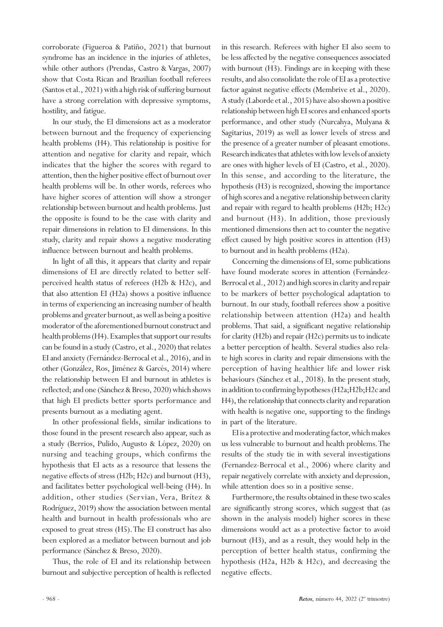corroborate (Figueroa & Patiño, 2021) that burnout syndrome has an incidence in the injuries of athletes, while other authors (Prendas, Castro & Vargas, 2007) show that Costa Rican and Brazilian football referees (Santos et al., 2021) with a high risk of suffering burnout have a strong correlation with depressive symptoms, hostility, and fatigue.

In our study, the EI dimensions act as a moderator between burnout and the frequency of experiencing health problems (H4). This relationship is positive for attention and negative for clarity and repair, which indicates that the higher the scores with regard to attention, then the higher positive effect of burnout over health problems will be. In other words, referees who have higher scores of attention will show a stronger relationship between burnout and health problems. Just the opposite is found to be the case with clarity and repair dimensions in relation to EI dimensions. In this study, clarity and repair shows a negative moderating influence between burnout and health problems.

In light of all this, it appears that clarity and repair dimensions of EI are directly related to better selfperceived health status of referees (H2b & H2c), and that also attention EI (H2a) shows a positive influence in terms of experiencing an increasing number of health problems and greater burnout, as well as being a positive moderator of the aforementioned burnout construct and health problems (H4). Examples that support our results can be found in a study (Castro, et al., 2020) that relates EI and anxiety (Fernández-Berrocal et al., 2016), and in other (González, Ros, Jiménez & Garcés, 2014) where the relationship between EI and burnout in athletes is reflected; and one (Sánchez & Breso, 2020) which shows that high EI predicts better sports performance and presents burnout as a mediating agent.

In other professional fields, similar indications to those found in the present research also appear, such as a study (Berrios, Pulido, Augusto & López, 2020) on nursing and teaching groups, which confirms the hypothesis that EI acts as a resource that lessens the negative effects of stress (H2b; H2c) and burnout (H3), and facilitates better psychological well-being (H4). In addition, other studies (Servian, Vera, Brítez & Rodríguez, 2019) show the association between mental health and burnout in health professionals who are exposed to great stress (H5). The EI construct has also been explored as a mediator between burnout and job performance (Sánchez & Breso, 2020).

Thus, the role of EI and its relationship between burnout and subjective perception of health is reflected in this research. Referees with higher EI also seem to be less affected by the negative consequences associated with burnout (H3). Findings are in keeping with these results, and also consolidate the role of EI as a protective factor against negative effects (Membrive et al., 2020). A study (Laborde et al., 2015) have also shown a positive relationship between high EI scores and enhanced sports performance, and other study (Nurcahya, Mulyana & Sagitarius, 2019) as well as lower levels of stress and the presence of a greater number of pleasant emotions. Research indicates that athletes with low levels of anxiety are ones with higher levels of EI (Castro, et al., 2020). In this sense, and according to the literature, the hypothesis (H3) is recognized, showing the importance of high scores and a negative relationship between clarity and repair with regard to health problems (H2b; H2c) and burnout (H3). In addition, those previously mentioned dimensions then act to counter the negative effect caused by high positive scores in attention (H3) to burnout and in health problems (H2a).

Concerning the dimensions of EI, some publications have found moderate scores in attention (Fernández-Berrocal et al., 2012) and high scores in clarity and repair to be markers of better psychological adaptation to burnout. In our study, football referees show a positive relationship between attention (H2a) and health problems. That said, a significant negative relationship for clarity (H2b) and repair (H2c) permits us to indicate a better perception of health. Several studies also relate high scores in clarity and repair dimensions with the perception of having healthier life and lower risk behaviours (Sánchez et al., 2018). In the present study, in addition to confirming hypotheses (H2a;H2b;H2c and H4), the relationship that connects clarity and reparation with health is negative one, supporting to the findings in part of the literature.

EI is a protective and moderating factor, which makes us less vulnerable to burnout and health problems. The results of the study tie in with several investigations (Fernandez-Berrocal et al., 2006) where clarity and repair negatively correlate with anxiety and depression, while attention does so in a positive sense.

Furthermore, the results obtained in these two scales are significantly strong scores, which suggest that (as shown in the analysis model) higher scores in these dimensions would act as a protective factor to avoid burnout (H3), and as a result, they would help in the perception of better health status, confirming the hypothesis (H2a, H2b & H2c), and decreasing the negative effects.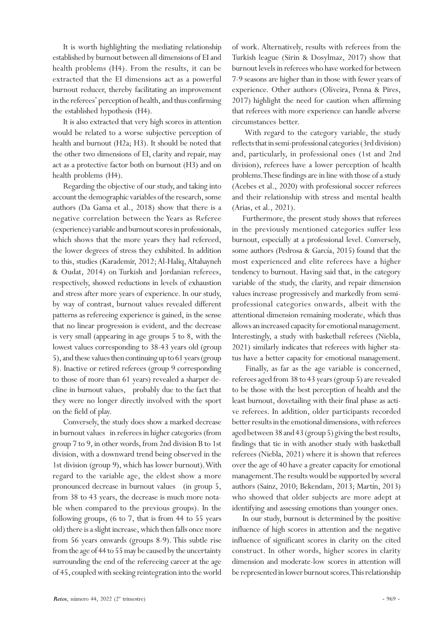It is worth highlighting the mediating relationship established by burnout between all dimensions of EI and health problems (H4). From the results, it can be extracted that the EI dimensions act as a powerful burnout reducer, thereby facilitating an improvement in the referees' perception of health, and thus confirming the established hypothesis (H4).

It is also extracted that very high scores in attention would be related to a worse subjective perception of health and burnout (H2a; H3). It should be noted that the other two dimensions of EI, clarity and repair, may act as a protective factor both on burnout (H3) and on health problems (H4).

Regarding the objective of our study, and taking into account the demographic variables of the research, some authors (Da Gama et al., 2018) show that there is a negative correlation between the Years as Referee (experience) variable and burnout scores in professionals, which shows that the more years they had refereed, the lower degrees of stress they exhibited. In addition to this, studies (Karademir, 2012; Al-Haliq, Altahayneh & Oudat, 2014) on Turkish and Jordanian referees, respectively, showed reductions in levels of exhaustion and stress after more years of experience. In our study, by way of contrast, burnout values revealed different patterns as refereeing experience is gained, in the sense that no linear progression is evident, and the decrease is very small (appearing in age groups 5 to 8, with the lowest values corresponding to 38-43 years old (group 5), and these values then continuing up to 61 years (group 8). Inactive or retired referees (group 9 corresponding to those of more than 61 years) revealed a sharper decline in burnout values, probably due to the fact that they were no longer directly involved with the sport on the field of play.

Conversely, the study does show a marked decrease in burnout values in referees in higher categories (from group 7 to 9, in other words, from 2nd division B to 1st division, with a downward trend being observed in the 1st division (group 9), which has lower burnout). With regard to the variable age, the eldest show a more pronounced decrease in burnout values (in group 5, from 38 to 43 years, the decrease is much more notable when compared to the previous groups). In the following groups, (6 to 7, that is from 44 to 55 years old) there is a slight increase, which then falls once more from 56 years onwards (groups 8-9). This subtle rise from the age of 44 to 55 may be caused by the uncertainty surrounding the end of the refereeing career at the age of 45, coupled with seeking reintegration into the world

of work. Alternatively, results with referees from the Turkish league (Sirin & Dosylmaz, 2017) show that burnout levels in referees who have worked for between 7-9 seasons are higher than in those with fewer years of experience. Other authors (Oliveira, Penna & Pires, 2017) highlight the need for caution when affirming that referees with more experience can handle adverse circumstances better.

 With regard to the category variable, the study reflects that in semi-professional categories (3rd division) and, particularly, in professional ones (1st and 2nd division), referees have a lower perception of health problems. These findings are in line with those of a study (Acebes et al., 2020) with professional soccer referees and their relationship with stress and mental health (Arias, et al., 2021).

Furthermore, the present study shows that referees in the previously mentioned categories suffer less burnout, especially at a professional level. Conversely, some authors (Pedrosa & García, 2015) found that the most experienced and elite referees have a higher tendency to burnout. Having said that, in the category variable of the study, the clarity, and repair dimension values increase progressively and markedly from semiprofessional categories onwards, albeit with the attentional dimension remaining moderate, which thus allows an increased capacity for emotional management. Interestingly, a study with basketball referees (Niebla, 2021) similarly indicates that referees with higher status have a better capacity for emotional management.

 Finally, as far as the age variable is concerned, referees aged from 38 to 43 years (group 5) are revealed to be those with the best perception of health and the least burnout, dovetailing with their final phase as active referees. In addition, older participants recorded better results in the emotional dimensions, with referees aged between 38 and 43 (group 5) giving the best results, findings that tie in with another study with basketball referees (Niebla, 2021) where it is shown that referees over the age of 40 have a greater capacity for emotional management. The results would be supported by several authors (Sainz, 2010; Bekendam, 2013; Martín, 2013) who showed that older subjects are more adept at identifying and assessing emotions than younger ones.

In our study, burnout is determined by the positive influence of high scores in attention and the negative influence of significant scores in clarity on the cited construct. In other words, higher scores in clarity dimension and moderate-low scores in attention will be represented in lower burnout scores. This relationship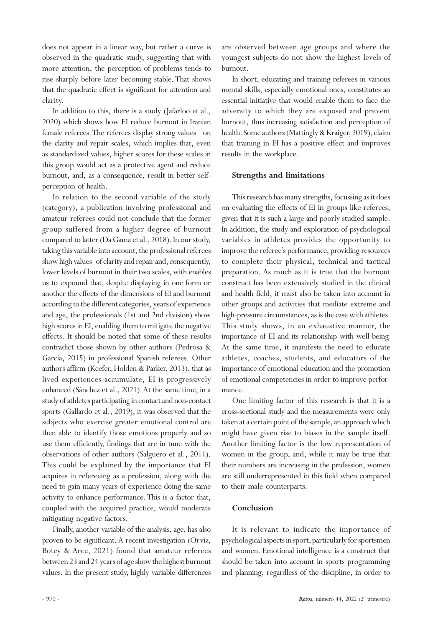does not appear in a linear way, but rather a curve is observed in the quadratic study, suggesting that with more attention, the perception of problems tends to rise sharply before later becoming stable. That shows that the quadratic effect is significant for attention and clarity.

In addition to this, there is a study (Jafarloo et al., 2020) which shows how EI reduce burnout in Iranian female referees. The referees display strong values on the clarity and repair scales, which implies that, even as standardized values, higher scores for these scales in this group would act as a protective agent and reduce burnout, and, as a consequence, result in better selfperception of health.

In relation to the second variable of the study (category), a publication involving professional and amateur referees could not conclude that the former group suffered from a higher degree of burnout compared to latter (Da Gama et al., 2018). In our study, taking this variable into account, the professional referees show high values of clarity and repair and, consequently, lower levels of burnout in their two scales, with enables us to expound that, despite displaying in one form or another the effects of the dimensions of EI and burnout according to the different categories, years of experience and age, the professionals (1st and 2nd division) show high scores in EI, enabling them to mitigate the negative effects. It should be noted that some of these results contradict those shown by other authors (Pedrosa & García, 2015) in professional Spanish referees. Other authors affirm (Keefer, Holden & Parker, 2013), that as lived experiences accumulate, EI is progressively enhanced (Sánchez et al., 2021). At the same time, in a study of athletes participating in contact and non-contact sports (Gallardo et al., 2019), it was observed that the subjects who exercise greater emotional control are then able to identify those emotions properly and so use them efficiently, findings that are in tune with the observations of other authors (Salguero et al., 2011). This could be explained by the importance that EI acquires in refereeing as a profession, along with the need to gain many years of experience doing the same activity to enhance performance. This is a factor that, coupled with the acquired practice, would moderate mitigating negative factors.

Finally, another variable of the analysis, age, has also proven to be significant. A recent investigation (Orviz, Botey & Arce, 2021) found that amateur referees between 23 and 24 years of age show the highest burnout values. In the present study, highly variable differences are observed between age groups and where the youngest subjects do not show the highest levels of burnout.

In short, educating and training referees in various mental skills, especially emotional ones, constitutes an essential initiative that would enable them to face the adversity to which they are exposed and prevent burnout, thus increasing satisfaction and perception of health. Some authors (Mattingly & Kraiger, 2019), claim that training in EI has a positive effect and improves results in the workplace.

# **Strengths and limitations**

This research has many strengths, focussing as it does on evaluating the effects of EI in groups like referees, given that it is such a large and poorly studied sample. In addition, the study and exploration of psychological variables in athletes provides the opportunity to improve the referee's performance, providing resources to complete their physical, technical and tactical preparation. As much as it is true that the burnout construct has been extensively studied in the clinical and health field, it must also be taken into account in other groups and activities that mediate extreme and high-pressure circumstances, as is the case with athletes. This study shows, in an exhaustive manner, the importance of EI and its relationship with well-being. At the same time, it manifests the need to educate athletes, coaches, students, and educators of the importance of emotional education and the promotion of emotional competencies in order to improve performance.

One limiting factor of this research is that it is a cross-sectional study and the measurements were only taken at a certain point of the sample, an approach which might have given rise to biases in the sample itself. Another limiting factor is the low representation of women in the group, and, while it may be true that their numbers are increasing in the profession, women are still underrepresented in this field when compared to their male counterparts.

# **Conclusion**

It is relevant to indicate the importance of psychological aspects in sport, particularly for sportsmen and women. Emotional intelligence is a construct that should be taken into account in sports programming and planning, regardless of the discipline, in order to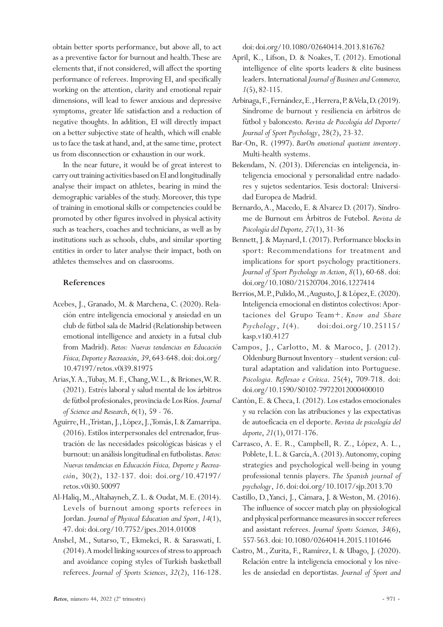obtain better sports performance, but above all, to act as a preventive factor for burnout and health. These are elements that, if not considered, will affect the sporting performance of referees. Improving EI, and specifically working on the attention, clarity and emotional repair dimensions, will lead to fewer anxious and depressive symptoms, greater life satisfaction and a reduction of negative thoughts. In addition, EI will directly impact on a better subjective state of health, which will enable us to face the task at hand, and, at the same time, protect us from disconnection or exhaustion in our work.

In the near future, it would be of great interest to carry out training activities based on EI and longitudinally analyse their impact on athletes, bearing in mind the demographic variables of the study. Moreover, this type of training in emotional skills or competencies could be promoted by other figures involved in physical activity such as teachers, coaches and technicians, as well as by institutions such as schools, clubs, and similar sporting entities in order to later analyse their impact, both on athletes themselves and on classrooms.

# **References**

- Acebes, J., Granado, M. & Marchena, C. (2020). Relación entre inteligencia emocional y ansiedad en un club de fútbol sala de Madrid (Relationship between emotional intelligence and anxiety in a futsal club from Madrid). *Retos: Nuevas tendencias en Educación Física, Deporte y Recreación*, *39*, 643-648. doi: doi.org/ 10.47197/retos.v0i39.81975
- Arias, Y. A., Tubay, M. F., Chang, W. L., & Briones, W. R. (2021). Estrés laboral y salud mental de los árbitros de fútbol profesionales, provincia de Los Ríos. *Journal of Science and Research*, *6*(1), 59 - 76.
- Aguirre, H., Tristan, J., López, J., Tomás, I. & Zamarripa. (2016). Estilos interpersonales del entrenador, frustración de las necesidades psicológicas básicas y el burnout: un análisis longitudinal en futbolistas. *Retos: Nuevas tendencias en Educación Física, Deporte y Recreación*, 30(2), 132-137. doi: doi.org/10.47197/ retos.v0i30.50097
- Al-Haliq, M., Altahayneh, Z. L. & Oudat, M. E. (2014). Levels of burnout among sports referees in Jordan. *Journal of Physical Education and Sport*, *14*(1), 47. doi: doi.org/10.7752/jpes.2014.01008
- Anshel, M., Sutarso, T., Ekmekci, R. & Saraswati, I. (2014). A model linking sources of stress to approach and avoidance coping styles of Turkish basketball referees. *Journal of Sports Sciences*, *32*(2), 116-128.

doi: doi.org/10.1080/02640414.2013.816762

- April, K., Lifson, D. & Noakes, T. (2012). Emotional intelligence of elite sports leaders & elite business leaders. International *Journal of Business and Commerce, 1*(5), 82-115.
- Arbinaga, F., Fernández, E., Herrera, P. & Vela, D. (2019). Síndrome de burnout y resiliencia en árbitros de fútbol y baloncesto. *Revista de Psicología del Deporte/ Journal of Sport Psychology*, 28(2), 23-32.
- Bar-On, R. (1997). *BarOn emotional quotient inventory*. Multi-health systems.
- Bekendam, N. (2013). Diferencias en inteligencia, inteligencia emocional y personalidad entre nadadores y sujetos sedentarios. Tesis doctoral: Universidad Europea de Madrid.
- Bernardo, A., Macedo, E. & Alvarez D. (2017). Síndrome de Burnout em Árbitros de Futebol. *Revista de Psicología del Deporte, 27*(1), 31-36
- Bennett, J. & Maynard, I. (2017). Performance blocks in sport: Recommendations for treatment and implications for sport psychology practitioners. *Journal of Sport Psychology in Action*, *8*(1), 60-68. doi: doi.org/10.1080/21520704.2016.1227414
- Berrios, M. P., Pulido, M., Augusto, J. & López, E. (2020). Inteligencia emocional en distintos colectivos: Aportaciones del Grupo Team+. *Know and Share Psychology*, *1*(4). doi:doi.org/10.25115/ kasp.v1i0.4127
- Campos, J., Carlotto, M. & Maroco, J. (2012). Oldenburg Burnout Inventory – student version: cultural adaptation and validation into Portuguese. *Psicologia. Reflexao e Crítica*. 25(4), 709-718. doi: doi.org/10.1590/S0102-79722012000400010
- Cantón, E. & Checa, I. (2012). Los estados emocionales y su relación con las atribuciones y las expectativas de autoeficacia en el deporte. *Revista de psicología del deporte*, *21*(1), 0171-176.
- Carrasco, A. E. R., Campbell, R. Z., López, A. L., Poblete, I. L. & García, A. (2013). Autonomy, coping strategies and psychological well-being in young professional tennis players. *The Spanish journal of psychology*, *16*. doi: doi.org/10.1017/sjp.2013.70
- Castillo, D., Yanci, J., Cámara, J. & Weston, M. (2016). The influence of soccer match play on physiological and physical performance measures in soccer referees and assistant referees. *Journal Sports Sciences, 34*(6), 557-563. doi: 10.1080/02640414.2015.1101646
- Castro, M., Zurita, F., Ramírez, I. & Ubago, J. (2020). Relación entre la inteligencia emocional y los niveles de ansiedad en deportistas. *Journal of Sport and*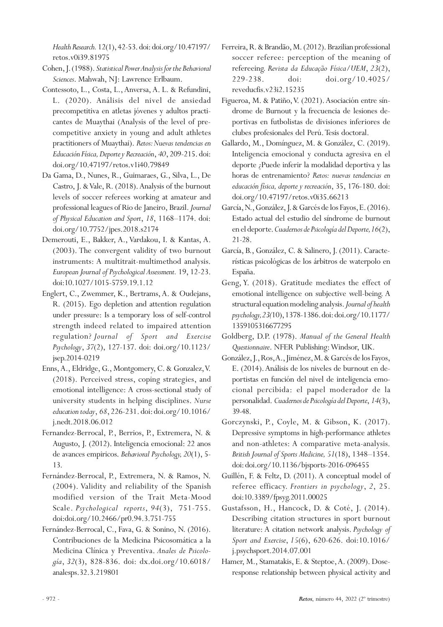*Health Research.* 12(1), 42-53. doi: doi.org/10.47197/ retos.v0i39.81975

- Cohen, J. (1988). *Statistical Power Analysis for the Behavioral Sciences*. Mahwah, NJ: Lawrence Erlbaum.
- Contessoto, L., Costa, L., Anversa, A. L. & Refundini, L. (2020). Análisis del nivel de ansiedad precompetitiva en atletas jóvenes y adultos practicantes de Muaythai (Analysis of the level of precompetitive anxiety in young and adult athletes practitioners of Muaythai). *Retos: Nuevas tendencias en Educación Física, Deporte y Recreación*, *40*, 209-215. doi: doi.org/10.47197/retos.v1i40.79849
- Da Gama, D., Nunes, R., Guimaraes, G., Silva, L., De Castro, J. & Vale, R. (2018). Analysis of the burnout levels of soccer referees working at amateur and professional leagues of Rio de Janeiro, Brazil. *Journal of Physical Education and Sport*, *18*, 1168–1174. doi: doi.org/10.7752/jpes.2018.s2174
- Demerouti, E., Bakker, A., Vardakou, I. & Kantas, A. (2003). The convergent validity of two burnout instruments: A multitrait-multimethod analysis. *European Journal of Psychological Assessment.* 19, 12-23. doi:10.1027/1015-5759.19.1.12
- Englert, C., Zwemmer, K., Bertrams, A. & Oudejans, R. (2015). Ego depletion and attention regulation under pressure: Is a temporary loss of self-control strength indeed related to impaired attention regulation? *Journal of Sport and Exercise Psychology*, *37*(2), 127-137. doi: doi.org/10.1123/ jsep.2014-0219
- Enns, A., Eldridge, G., Montgomery, C. & Gonzalez, V. (2018). Perceived stress, coping strategies, and emotional intelligence: A cross-sectional study of university students in helping disciplines. *Nurse education today*, *68*, 226-231. doi: doi.org/10.1016/ j.nedt.2018.06.012
- Fernandez-Berrocal, P., Berrios, P., Extremera, N. & Augusto, J. (2012). Inteligencia emocional: 22 anos de avances empiricos. *Behavioral Psychology, 20*(1), 5- 13.
- Fernández-Berrocal, P., Extremera, N. & Ramos, N. (2004). Validity and reliability of the Spanish modified version of the Trait Meta-Mood Scale. *Psychological reports*, *94*(3), 751-755. doi:doi.org/10.2466/pr0.94.3.751-755
- Fernández-Berrocal, C., Fava, G. & Sonino, N. (2016). Contribuciones de la Medicina Psicosomática a la Medicina Clínica y Preventiva. *Anales de Psicología*, *32*(3), 828-836. doi: dx.doi.org/10.6018/ analesps.32.3.219801
- Ferreira, R. & Brandão, M. (2012). Brazilian professional soccer referee: perception of the meaning of refereeing. *Revista da Educação Física/UEM*, *23*(2), 229-238. doi: doi.org/10.4025/ reveducfis.v23i2.15235
- Figueroa, M. & Patiño, V. (2021). Asociación entre síndrome de Burnout y la frecuencia de lesiones deportivas en futbolistas de divisiones inferiores de clubes profesionales del Perú. Tesis doctoral.
- Gallardo, M., Domínguez, M. & González, C. (2019). Inteligencia emocional y conducta agresiva en el deporte ¿Puede inferir la modalidad deportiva y las horas de entrenamiento? *Retos: nuevas tendencias en educación física, deporte y recreación*, 35, 176-180. doi: doi.org/10.47197/retos.v0i35.66213
- García, N., González, J. & Garcés de los Fayos, E. (2016). Estado actual del estudio del síndrome de burnout en el deporte. *Cuadernos de Psicología del Deporte, 16*(2), 21-28.
- García, B., González, C. & Salinero, J. (2011). Características psicológicas de los árbitros de waterpolo en España.
- Geng, Y. (2018). Gratitude mediates the effect of emotional intelligence on subjective well-being. A structural equation modeling analysis. *Journal of health psychology, 23(*10), 1378-1386. doi: doi.org/10.1177/ 1359105316677295
- Goldberg, D.P. (1978). *Manual of the General Health Questionnaire*. NFER Publishing: Windsor, UK.
- González, J., Ros, A., Jiménez, M. & Garcés de los Fayos, E. (2014). Análisis de los niveles de burnout en deportistas en función del nivel de inteligencia emocional percibida: el papel moderador de la personalidad. *Cuadernos de Psicología del Deporte*, *14*(3), 39-48.
- Gorczynski, P., Coyle, M. & Gibson, K. (2017). Depressive symptoms in high-performance athletes and non-athletes: A comparative meta-analysis. *British Journal of Sports Medicine, 51*(18), 1348–1354. doi: doi.org/10.1136/bjsports-2016-096455
- Guillén, F. & Feltz, D. (2011). A conceptual model of referee efficacy. *Frontiers in psychology*, *2*, 25. doi:10.3389/fpsyg.2011.00025
- Gustafsson, H., Hancock, D. & Coté, J. (2014). Describing citation structures in sport burnout literature: A citation network analysis. *Psychology of Sport and Exercise*, *15*(6), 620-626. doi:10.1016/ j.psychsport.2014.07.001
- Hamer, M., Stamatakis, E. & Steptoe, A. (2009). Doseresponse relationship between physical activity and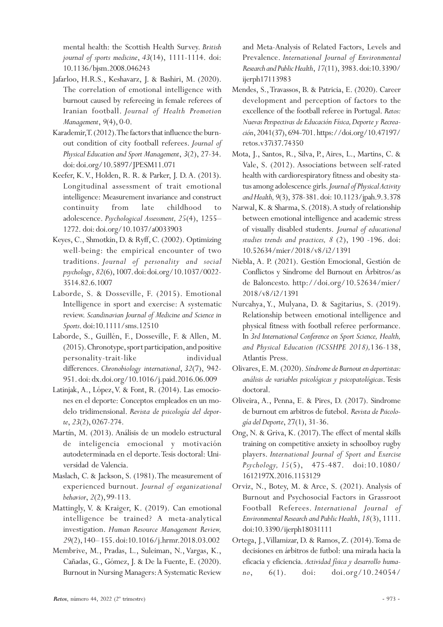mental health: the Scottish Health Survey. *British journal of sports medicine*, *43*(14), 1111-1114. doi: 10.1136/bjsm.2008.046243

- Jafarloo, H.R.S., Keshavarz, J. & Bashiri, M. (2020). The correlation of emotional intelligence with burnout caused by refereeing in female referees of Iranian football. *Journal of Health Promotion Management*, *9*(4), 0-0.
- Karademir, T. (2012). The factors that influence the burnout condition of city football referees. *Journal of Physical Education and Sport Management*, *3*(2), 27-34. doi: doi.org/10.5897/JPESM11.071
- Keefer, K. V., Holden, R. R. & Parker, J. D. A. (2013). Longitudinal assessment of trait emotional intelligence: Measurement invariance and construct continuity from late childhood to adolescence. *Psychological Assessment, 25*(4), 1255– 1272. doi: doi.org/10.1037/a0033903
- Keyes, C., Shmotkin, D. & Ryff, C. (2002). Optimizing well-being: the empirical encounter of two traditions. *Journal of personality and social psychology*, *82*(6), 1007. doi: doi.org/10.1037/0022- 3514.82.6.1007
- Laborde, S. & Dosseville, F. (2015). Emotional Intelligence in sport and exercise: A systematic review. *Scandinavian Journal of Medicine and Science in Sports*. doi:10.1111/sms.12510
- Laborde, S., Guillén, F., Dosseville, F. & Allen, M. (2015). Chronotype, sport participation, and positive personality-trait-like individual differences. *Chronobiology international*, *32*(7), 942- 951. doi: dx.doi.org/10.1016/j.paid.2016.06.009
- Latinjak, A., López, V. & Font, R. (2014). Las emociones en el deporte: Conceptos empleados en un modelo tridimensional. *Revista de psicología del deporte*, *23*(2), 0267-274.
- Martín, M. (2013). Análisis de un modelo estructural de inteligencia emocional y motivación autodeterminada en el deporte. Tesis doctoral: Universidad de Valencia.
- Maslach, C. & Jackson, S. (1981). The measurement of experienced burnout. *Journal of organizational behavior*, *2*(2), 99-113.
- Mattingly, V. & Kraiger, K. (2019). Can emotional intelligence be trained? A meta-analytical investigation. *Human Resource Management Review, 29*(2), 140– 155. doi:10.1016/j.hrmr.2018.03.002
- Membrive, M., Pradas, L., Suleiman, N., Vargas, K., Cañadas, G., Gómez, J. & De la Fuente, E. (2020). Burnout in Nursing Managers: A Systematic Review

and Meta-Analysis of Related Factors, Levels and Prevalence. *International Journal of Environmental Research and Public Health*, *17*(11), 3983. doi:10.3390/ ijerph17113983

- Mendes, S., Travassos, B. & Patricia, E. (2020). Career development and perception of factors to the excellence of the football referee in Portugal. *Retos: Nuevas Perspectivas de Educación Física, Deporte y Recreación*, 2041(37), 694-701. https://doi.org/10.47197/ retos.v37i37.74350
- Mota, J., Santos, R., Silva, P., Aires, L., Martins, C. & Vale, S. (2012). Associations between self-rated health with cardiorespiratory fitness and obesity status among adolescence girls. *Journal of Physical Activity and Health, 9*(3), 378-381. doi: 10.1123/jpah.9.3.378
- Narwal, K. & Sharma, S. (2018). A study of relationship between emotional intelligence and academic stress of visually disabled students. *Journal of educational studies trends and practices, 8* (2), 190 -196. doi: 10.52634/mier/2018/v8/i2/1391
- Niebla, A. P. (2021). Gestión Emocional, Gestión de Conflictos y Síndrome del Burnout en Árbitros/as de Baloncesto. http://doi.org/10.52634/mier/ 2018/v8/i2/1391
- Nurcahya, Y., Mulyana, D. & Sagitarius, S. (2019). Relationship between emotional intelligence and physical fitness with football referee performance. In *3rd International Conference on Sport Science, Health, and Physical Education (ICSSHPE 2018),*136-138, Atlantis Press.
- Olivares, E. M. (2020). *Síndrome de Burnout en deportistas: análisis de variables psicológicas y psicopatológicas*. Tesis doctoral.
- Oliveira, A., Penna, E. & Pires, D. (2017). Sindrome de burnout em arbitros de futebol. *Revista de Psicología del Deporte*, 27(1), 31-36.
- Ong, N. & Griva, K. (2017). The effect of mental skills training on competitive anxiety in schoolboy rugby players. *International Journal of Sport and Exercise Psychology, 15*(5), 475-487. doi:10.1080/ 1612197X.2016.1153129
- Orviz, N., Botey, M. & Arce, S. (2021). Analysis of Burnout and Psychosocial Factors in Grassroot Football Referees. *International Journal of Environmental Research and Public Health*, *18*(3), 1111. doi:10.3390/ijerph18031111
- Ortega, J., Villamizar, D. & Ramos, Z. (2014). Toma de decisiones en árbitros de futbol: una mirada hacia la eficacia y eficiencia. *Actividad física y desarrollo humano*, 6(1). doi: doi.org/10.24054/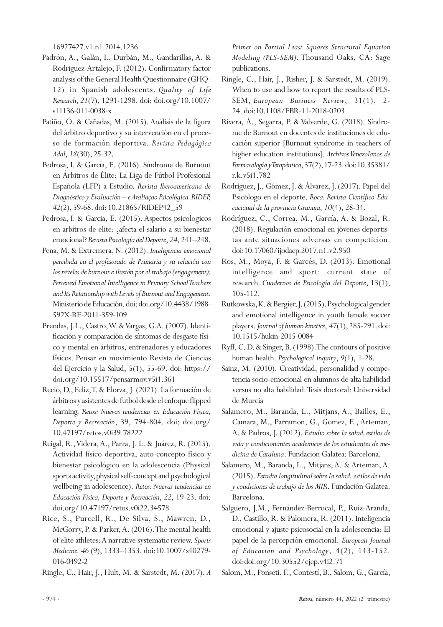16927427.v1.n1.2014.1236

- Padrón, A., Galán, I., Durbán, M., Gandarillas, A. & Rodríguez-Artalejo, F. (2012). Confirmatory factor analysis of the General Health Questionnaire (GHQ-12) in Spanish adolescents. *Quality of Life Research*, *21*(7), 1291-1298. doi: doi.org/10.1007/ s11136-011-0038-x
- Patiño, Ó. & Cañadas, M. (2015). Análisis de la figura del árbitro deportivo y su intervención en el proceso de formación deportiva. *Revista Pedagógica Adal*, *18*(30), 25-32.
- Pedrosa, I. & García, E. (2016). Síndrome de Burnout en Árbitros de Élite: La Liga de Fútbol Profesional Española (LFP) a Estudio. *Revista Iberoamericana de Diagnóstico y Evaluación – e Avaliaçao Psicológica. RIDEP, 42*(2), 59-68. doi: 10.21865/RIDEP42\_59
- Pedrosa, I. & Garcia, E. (2015). Aspectos psicologicos en arbitros de elite: ¿afecta el salario a su bienestar emocional? *Revista Psicología del Deporte*, *24*, 241–248.
- Pena, M. & Extremera, N. (2012). *Inteligencia emocional percibida en el profesorado de Primaria y su relación con los niveles de burnout e ilusión por el trabajo (engagement): Perceived Emotional Intelligence in Primary School Teachers and Its Relationship with Levels of Burnout and Engagement*. Ministerio de Educación. doi: doi.org/10.4438/1988- 592X-RE-2011-359-109
- Prendas, J.L., Castro, W. & Vargas, G.A. (2007). Identificación y comparación de síntomas de desgaste físico y mental en árbitros, entrenadores y educadores físicos. Pensar en movimiento Revista de Ciencias del Ejercicio y la Salud, 5(1), 55-69. doi: https:// doi.org/10.15517/pensarmov.v5i1.361
- Recio, D., Feliz, T. & Elorza, J. (2021). La formación de árbitros y asistentes de futbol desde el enfoque flipped learning. *Retos: Nuevas tendencias en Educación Física, Deporte y Recreación*, 39, 794-804. doi: doi.org/ 10.47197/retos.v0i39.78222
- Reigal, R., Videra, A., Parra, J. L. & Juárez, R. (2015). Actividad físico deportiva, auto-concepto físico y bienestar psicológico en la adolescencia (Physical sports activity, physical self-concept and psychological wellbeing in adolescence). *Retos: Nuevas tendencias en Educación Física, Deporte y Recreación*, *22*, 19-23. doi: doi.org/10.47197/retos.v0i22.34578
- Rice, S., Purcell, R., De Silva, S., Mawren, D., McGorry, P. & Parker, A. (2016). The mental health of elite athletes: A narrative systematic review. *Sports Medicine, 46* (9), 1333–1353. doi:10.1007/s40279- 016-0492-2
- Ringle, C., Hair, J., Hult, M. & Sarstedt, M. (2017). *A*

*Primer on Partial Least Squares Structural Equation Modeling (PLS-SEM)*. Thousand Oaks, CA: Sage publications.

- Ringle, C., Hair, J., Risher, J. & Sarstedt, M. (2019). When to use and how to report the results of PLS-SEM, *European Business Review*, 31(1), 2- 24. doi:10.1108/EBR-11-2018-0203
- Rivera, Á., Segarra, P. & Valverde, G. (2018). Síndrome de Burnout en docentes de instituciones de educación superior [Burnout syndrome in teachers of higher education institutions]. *Archivos Venezolanos de Farmacología y Terapéutica*, 37(2), 17-23. doi:10.35381/ r.k.v5i1.782
- Rodríguez, J., Gómez, J. & Álvarez, J. (2017). Papel del Psicólogo en el deporte. *Roca. Revista Científico-Educacional de la provincia Granma*, *10*(4), 28-34.
- Rodríguez, C., Correa, M., García, A. & Bozal, R. (2018). Regulación emocional en jóvenes deportistas ante situaciones adversas en competición. doi:10.17060/ijodaep.2017.n1.v2.950
- Ros, M., Moya, F. & Garcés, D. (2013). Emotional intelligence and sport: current state of research. *Cuadernos de Psicología del Deporte*, 13(1), 105-112.
- Rutkowska, K. & Bergier, J. (2015). Psychological gender and emotional intelligence in youth female soccer players. *Journal of human kinetics*, *47*(1), 285-291. doi: 10.1515/hukin-2015-0084
- Ryff, C. D. & Singer, B. (1998). The contours of positive human health. *Psychological inquiry*, *9*(1), 1-28.
- Sainz, M. (2010). Creatividad, personalidad y competencia socio-emocional en alumnos de alta habilidad versus no alta habilidad. Tesis doctoral: Universidad de Murcia
- Salamero, M., Baranda, L., Mitjans, A., Bailles, E., Camara, M., Parramon, G., Gomez, E., Arteman, A. & Padros, J. (2012). *Estudio sobre la salud, estilos de vida y condicionantes academicos de los estudiantes de medicina de Cataluna*. Fundacion Galatea: Barcelona.
- Salamero, M., Baranda, L., Mitjans, A. & Arteman, A. (2015). *Estudio longitudinal sobre la salud, estilos de vida y condiciones de trabajo de los MIR*. Fundación Galatea. Barcelona.
- Salguero, J.M., Fernández-Berrocal, P., Ruiz-Aranda, D., Castillo, R. & Palomera, R. (2011). Inteligencia emocional y ajuste psicosocial en la adolescencia: El papel de la percepción emocional. *European Journal of Education and Psychology*, 4(2), 143-152. doi:doi.org/10.30552/ejep.v4i2.71

Salom, M., Ponseti, F., Contestí, B., Salom, G., García,